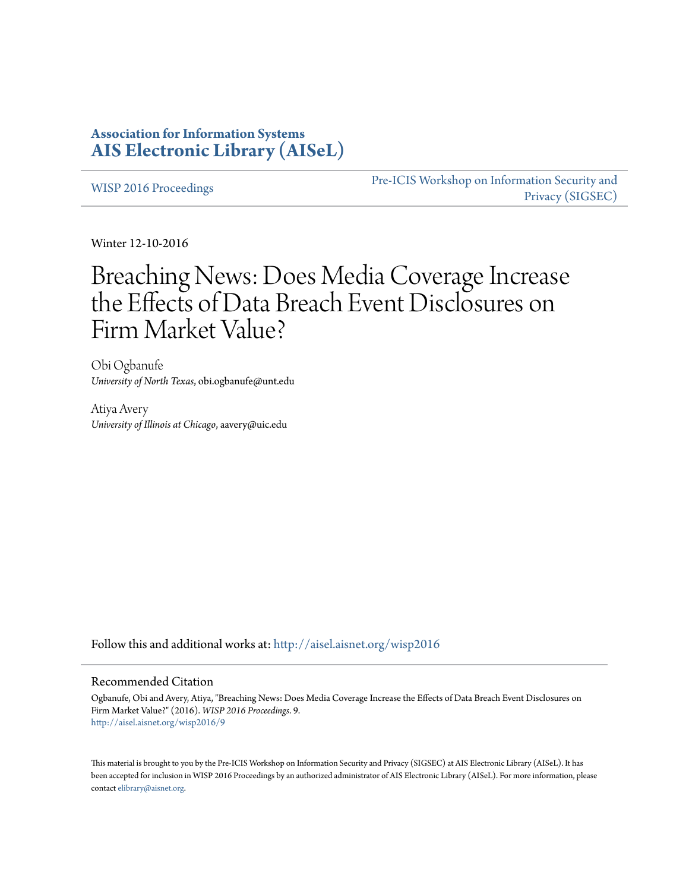## **Association for Information Systems [AIS Electronic Library \(AISeL\)](http://aisel.aisnet.org?utm_source=aisel.aisnet.org%2Fwisp2016%2F9&utm_medium=PDF&utm_campaign=PDFCoverPages)**

[WISP 2016 Proceedings](http://aisel.aisnet.org/wisp2016?utm_source=aisel.aisnet.org%2Fwisp2016%2F9&utm_medium=PDF&utm_campaign=PDFCoverPages)

[Pre-ICIS Workshop on Information Security and](http://aisel.aisnet.org/sigsec?utm_source=aisel.aisnet.org%2Fwisp2016%2F9&utm_medium=PDF&utm_campaign=PDFCoverPages) [Privacy \(SIGSEC\)](http://aisel.aisnet.org/sigsec?utm_source=aisel.aisnet.org%2Fwisp2016%2F9&utm_medium=PDF&utm_campaign=PDFCoverPages)

Winter 12-10-2016

# Breaching News: Does Media Coverage Increase the Effects of Data Breach Event Disclosures on Firm Market Value?

Obi Ogbanufe *University of North Texas*, obi.ogbanufe@unt.edu

Atiya Avery *University of Illinois at Chicago*, aavery@uic.edu

Follow this and additional works at: [http://aisel.aisnet.org/wisp2016](http://aisel.aisnet.org/wisp2016?utm_source=aisel.aisnet.org%2Fwisp2016%2F9&utm_medium=PDF&utm_campaign=PDFCoverPages)

#### Recommended Citation

Ogbanufe, Obi and Avery, Atiya, "Breaching News: Does Media Coverage Increase the Effects of Data Breach Event Disclosures on Firm Market Value?" (2016). *WISP 2016 Proceedings*. 9. [http://aisel.aisnet.org/wisp2016/9](http://aisel.aisnet.org/wisp2016/9?utm_source=aisel.aisnet.org%2Fwisp2016%2F9&utm_medium=PDF&utm_campaign=PDFCoverPages)

This material is brought to you by the Pre-ICIS Workshop on Information Security and Privacy (SIGSEC) at AIS Electronic Library (AISeL). It has been accepted for inclusion in WISP 2016 Proceedings by an authorized administrator of AIS Electronic Library (AISeL). For more information, please contact [elibrary@aisnet.org.](mailto:elibrary@aisnet.org%3E)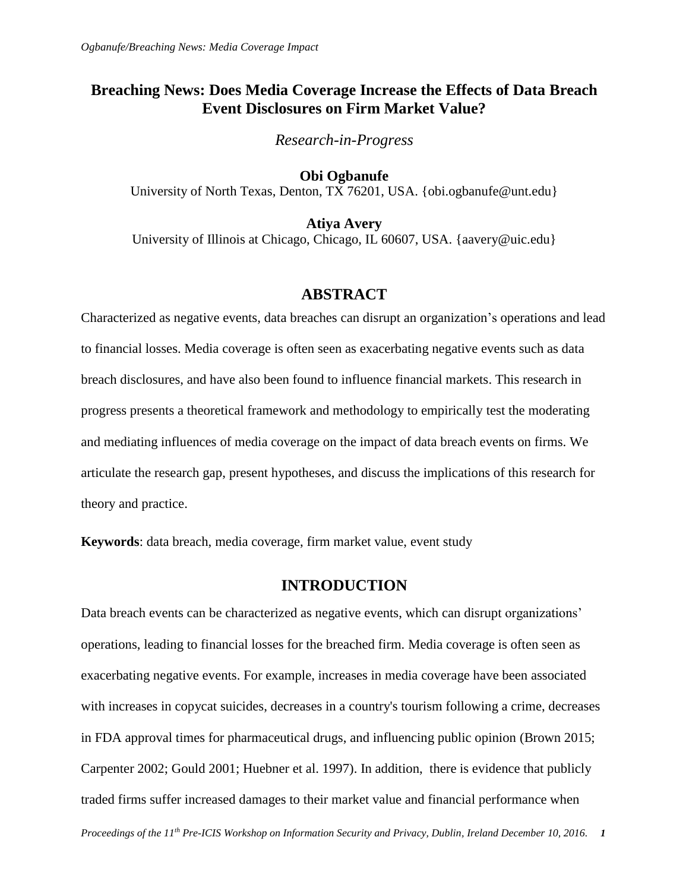# **Breaching News: Does Media Coverage Increase the Effects of Data Breach Event Disclosures on Firm Market Value?**

*Research-in-Progress*

**Obi Ogbanufe** University of North Texas, Denton, TX 76201, USA. {obi.ogbanufe@unt.edu}

**Atiya Avery** University of Illinois at Chicago, Chicago, IL 60607, USA. {aavery@uic.edu}

### **ABSTRACT**

Characterized as negative events, data breaches can disrupt an organization's operations and lead to financial losses. Media coverage is often seen as exacerbating negative events such as data breach disclosures, and have also been found to influence financial markets. This research in progress presents a theoretical framework and methodology to empirically test the moderating and mediating influences of media coverage on the impact of data breach events on firms. We articulate the research gap, present hypotheses, and discuss the implications of this research for theory and practice.

**Keywords**: data breach, media coverage, firm market value, event study

#### **INTRODUCTION**

Data breach events can be characterized as negative events, which can disrupt organizations' operations, leading to financial losses for the breached firm. Media coverage is often seen as exacerbating negative events. For example, increases in media coverage have been associated with increases in copycat suicides, decreases in a country's tourism following a crime, decreases in FDA approval times for pharmaceutical drugs, and influencing public opinion (Brown 2015; Carpenter 2002; Gould 2001; Huebner et al. 1997). In addition, there is evidence that publicly traded firms suffer increased damages to their market value and financial performance when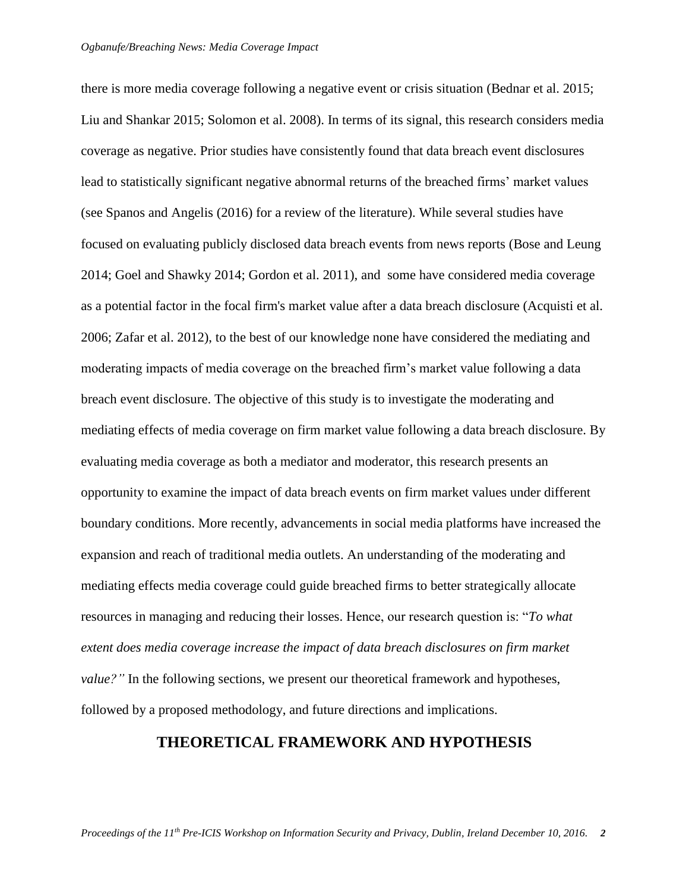there is more media coverage following a negative event or crisis situation (Bednar et al. 2015; Liu and Shankar 2015; Solomon et al. 2008). In terms of its signal, this research considers media coverage as negative. Prior studies have consistently found that data breach event disclosures lead to statistically significant negative abnormal returns of the breached firms' market values (see Spanos and Angelis (2016) for a review of the literature). While several studies have focused on evaluating publicly disclosed data breach events from news reports (Bose and Leung 2014; Goel and Shawky 2014; Gordon et al. 2011), and some have considered media coverage as a potential factor in the focal firm's market value after a data breach disclosure (Acquisti et al. 2006; Zafar et al. 2012), to the best of our knowledge none have considered the mediating and moderating impacts of media coverage on the breached firm's market value following a data breach event disclosure. The objective of this study is to investigate the moderating and mediating effects of media coverage on firm market value following a data breach disclosure. By evaluating media coverage as both a mediator and moderator, this research presents an opportunity to examine the impact of data breach events on firm market values under different boundary conditions. More recently, advancements in social media platforms have increased the expansion and reach of traditional media outlets. An understanding of the moderating and mediating effects media coverage could guide breached firms to better strategically allocate resources in managing and reducing their losses. Hence, our research question is: "*To what extent does media coverage increase the impact of data breach disclosures on firm market value?"* In the following sections, we present our theoretical framework and hypotheses, followed by a proposed methodology, and future directions and implications.

## **THEORETICAL FRAMEWORK AND HYPOTHESIS**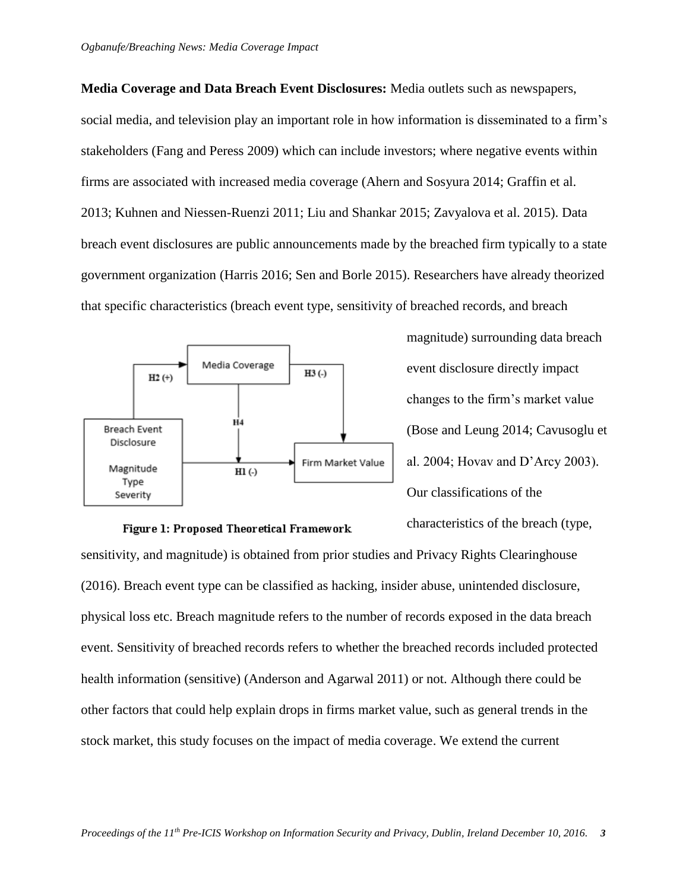**Media Coverage and Data Breach Event Disclosures:** Media outlets such as newspapers, social media, and television play an important role in how information is disseminated to a firm's stakeholders (Fang and Peress 2009) which can include investors; where negative events within firms are associated with increased media coverage (Ahern and Sosyura 2014; Graffin et al. 2013; Kuhnen and Niessen-Ruenzi 2011; Liu and Shankar 2015; Zavyalova et al. 2015). Data breach event disclosures are public announcements made by the breached firm typically to a state government organization (Harris 2016; Sen and Borle 2015). Researchers have already theorized that specific characteristics (breach event type, sensitivity of breached records, and breach



magnitude) surrounding data breach event disclosure directly impact changes to the firm's market value (Bose and Leung 2014; Cavusoglu et al. 2004; Hovav and D'Arcy 2003). Our classifications of the

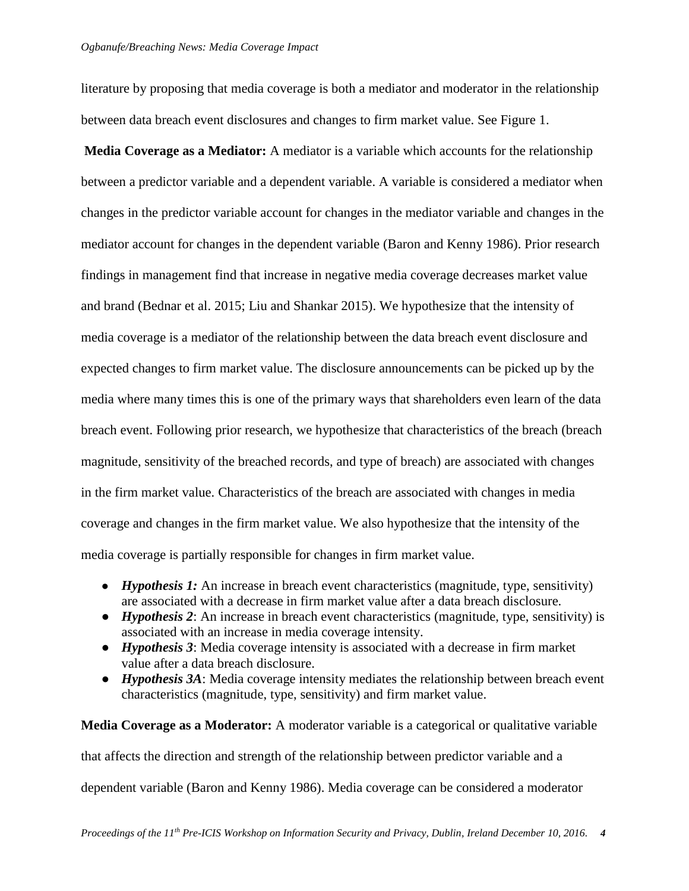literature by proposing that media coverage is both a mediator and moderator in the relationship between data breach event disclosures and changes to firm market value. See Figure 1.

**Media Coverage as a Mediator:** A mediator is a variable which accounts for the relationship between a predictor variable and a dependent variable. A variable is considered a mediator when changes in the predictor variable account for changes in the mediator variable and changes in the mediator account for changes in the dependent variable (Baron and Kenny 1986). Prior research findings in management find that increase in negative media coverage decreases market value and brand (Bednar et al. 2015; Liu and Shankar 2015). We hypothesize that the intensity of media coverage is a mediator of the relationship between the data breach event disclosure and expected changes to firm market value. The disclosure announcements can be picked up by the media where many times this is one of the primary ways that shareholders even learn of the data breach event. Following prior research, we hypothesize that characteristics of the breach (breach magnitude, sensitivity of the breached records, and type of breach) are associated with changes in the firm market value. Characteristics of the breach are associated with changes in media coverage and changes in the firm market value. We also hypothesize that the intensity of the media coverage is partially responsible for changes in firm market value.

- *Hypothesis 1:* An increase in breach event characteristics (magnitude, type, sensitivity) are associated with a decrease in firm market value after a data breach disclosure.
- *Hypothesis 2*: An increase in breach event characteristics (magnitude, type, sensitivity) is associated with an increase in media coverage intensity.
- *Hypothesis 3*: Media coverage intensity is associated with a decrease in firm market value after a data breach disclosure.
- *Hypothesis 3A*: Media coverage intensity mediates the relationship between breach event characteristics (magnitude, type, sensitivity) and firm market value.

**Media Coverage as a Moderator:** A moderator variable is a categorical or qualitative variable that affects the direction and strength of the relationship between predictor variable and a dependent variable (Baron and Kenny 1986). Media coverage can be considered a moderator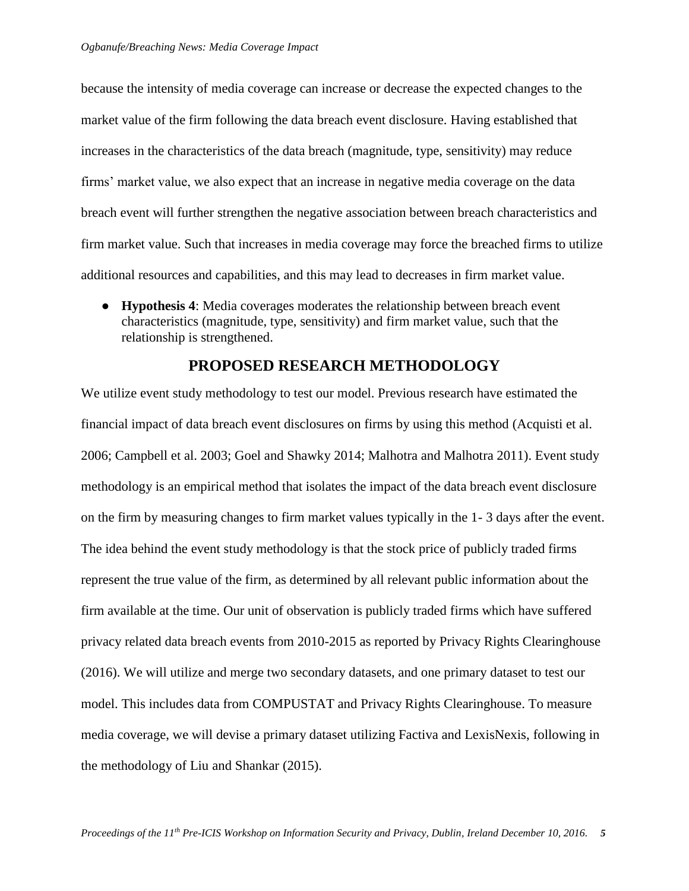because the intensity of media coverage can increase or decrease the expected changes to the market value of the firm following the data breach event disclosure. Having established that increases in the characteristics of the data breach (magnitude, type, sensitivity) may reduce firms' market value, we also expect that an increase in negative media coverage on the data breach event will further strengthen the negative association between breach characteristics and firm market value. Such that increases in media coverage may force the breached firms to utilize additional resources and capabilities, and this may lead to decreases in firm market value.

● **Hypothesis 4**: Media coverages moderates the relationship between breach event characteristics (magnitude, type, sensitivity) and firm market value, such that the relationship is strengthened.

### **PROPOSED RESEARCH METHODOLOGY**

We utilize event study methodology to test our model. Previous research have estimated the financial impact of data breach event disclosures on firms by using this method (Acquisti et al. 2006; Campbell et al. 2003; Goel and Shawky 2014; Malhotra and Malhotra 2011). Event study methodology is an empirical method that isolates the impact of the data breach event disclosure on the firm by measuring changes to firm market values typically in the 1- 3 days after the event. The idea behind the event study methodology is that the stock price of publicly traded firms represent the true value of the firm, as determined by all relevant public information about the firm available at the time. Our unit of observation is publicly traded firms which have suffered privacy related data breach events from 2010-2015 as reported by Privacy Rights Clearinghouse (2016). We will utilize and merge two secondary datasets, and one primary dataset to test our model. This includes data from COMPUSTAT and Privacy Rights Clearinghouse. To measure media coverage, we will devise a primary dataset utilizing Factiva and LexisNexis, following in the methodology of Liu and Shankar (2015).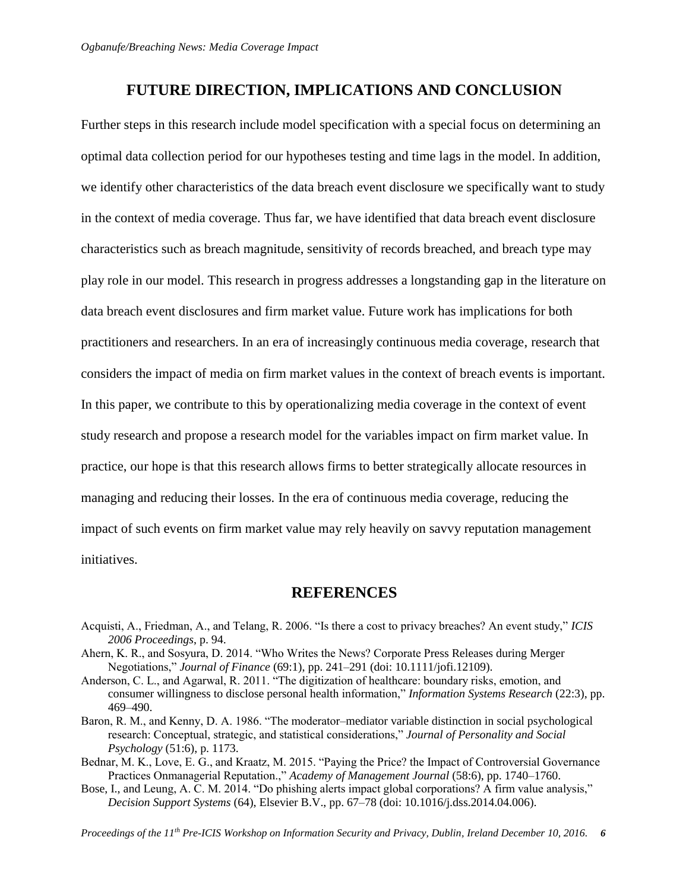## **FUTURE DIRECTION, IMPLICATIONS AND CONCLUSION**

Further steps in this research include model specification with a special focus on determining an optimal data collection period for our hypotheses testing and time lags in the model. In addition, we identify other characteristics of the data breach event disclosure we specifically want to study in the context of media coverage. Thus far, we have identified that data breach event disclosure characteristics such as breach magnitude, sensitivity of records breached, and breach type may play role in our model. This research in progress addresses a longstanding gap in the literature on data breach event disclosures and firm market value. Future work has implications for both practitioners and researchers. In an era of increasingly continuous media coverage, research that considers the impact of media on firm market values in the context of breach events is important. In this paper, we contribute to this by operationalizing media coverage in the context of event study research and propose a research model for the variables impact on firm market value. In practice, our hope is that this research allows firms to better strategically allocate resources in managing and reducing their losses. In the era of continuous media coverage, reducing the impact of such events on firm market value may rely heavily on savvy reputation management initiatives.

#### **REFERENCES**

- Acquisti, A., Friedman, A., and Telang, R. 2006. "Is there a cost to privacy breaches? An event study," *ICIS 2006 Proceedings*, p. 94.
- Ahern, K. R., and Sosyura, D. 2014. "Who Writes the News? Corporate Press Releases during Merger Negotiations," *Journal of Finance* (69:1), pp. 241–291 (doi: 10.1111/jofi.12109).
- Anderson, C. L., and Agarwal, R. 2011. "The digitization of healthcare: boundary risks, emotion, and consumer willingness to disclose personal health information," *Information Systems Research* (22:3), pp. 469–490.
- Baron, R. M., and Kenny, D. A. 1986. "The moderator–mediator variable distinction in social psychological research: Conceptual, strategic, and statistical considerations," *Journal of Personality and Social Psychology* (51:6), p. 1173.
- Bednar, M. K., Love, E. G., and Kraatz, M. 2015. "Paying the Price? the Impact of Controversial Governance Practices Onmanagerial Reputation.," *Academy of Management Journal* (58:6), pp. 1740–1760.
- Bose, I., and Leung, A. C. M. 2014. "Do phishing alerts impact global corporations? A firm value analysis," *Decision Support Systems* (64), Elsevier B.V., pp. 67–78 (doi: 10.1016/j.dss.2014.04.006).